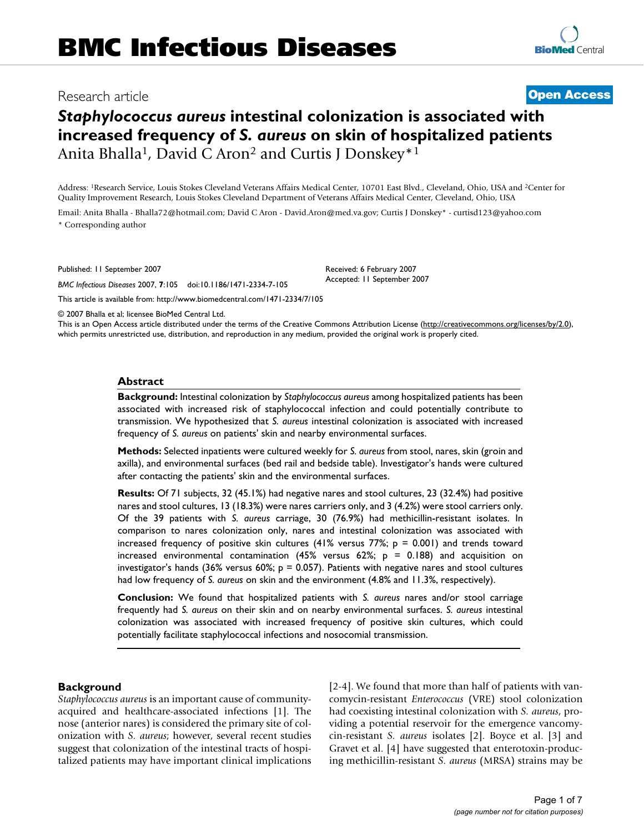# Research article **[Open Access](http://www.biomedcentral.com/info/about/charter/)**

# *Staphylococcus aureus* **intestinal colonization is associated with increased frequency of** *S. aureus* **on skin of hospitalized patients** Anita Bhalla1, David C Aron2 and Curtis J Donskey\*1

Address: 1Research Service, Louis Stokes Cleveland Veterans Affairs Medical Center, 10701 East Blvd., Cleveland, Ohio, USA and 2Center for

Email: Anita Bhalla - Bhalla72@hotmail.com; David C Aron - David.Aron@med.va.gov; Curtis J Donskey\* - curtisd123@yahoo.com \* Corresponding author

Published: 11 September 2007

*BMC Infectious Diseases* 2007, **7**:105 doi:10.1186/1471-2334-7-105

[This article is available from: http://www.biomedcentral.com/1471-2334/7/105](http://www.biomedcentral.com/1471-2334/7/105)

© 2007 Bhalla et al; licensee BioMed Central Ltd.

This is an Open Access article distributed under the terms of the Creative Commons Attribution License [\(http://creativecommons.org/licenses/by/2.0\)](http://creativecommons.org/licenses/by/2.0), which permits unrestricted use, distribution, and reproduction in any medium, provided the original work is properly cited.

#### **Abstract**

**Background:** Intestinal colonization by *Staphylococcus aureus* among hospitalized patients has been associated with increased risk of staphylococcal infection and could potentially contribute to transmission. We hypothesized that *S. aureus* intestinal colonization is associated with increased frequency of *S. aureus* on patients' skin and nearby environmental surfaces.

**Methods:** Selected inpatients were cultured weekly for *S. aureus* from stool, nares, skin (groin and axilla), and environmental surfaces (bed rail and bedside table). Investigator's hands were cultured after contacting the patients' skin and the environmental surfaces.

**Results:** Of 71 subjects, 32 (45.1%) had negative nares and stool cultures, 23 (32.4%) had positive nares and stool cultures, 13 (18.3%) were nares carriers only, and 3 (4.2%) were stool carriers only. Of the 39 patients with *S. aureus* carriage, 30 (76.9%) had methicillin-resistant isolates. In comparison to nares colonization only, nares and intestinal colonization was associated with increased frequency of positive skin cultures (41% versus 77%;  $p = 0.001$ ) and trends toward increased environmental contamination (45% versus 62%;  $p = 0.188$ ) and acquisition on investigator's hands (36% versus 60%;  $p = 0.057$ ). Patients with negative nares and stool cultures had low frequency of *S. aureus* on skin and the environment (4.8% and 11.3%, respectively).

**Conclusion:** We found that hospitalized patients with *S. aureus* nares and/or stool carriage frequently had *S. aureus* on their skin and on nearby environmental surfaces. *S. aureus* intestinal colonization was associated with increased frequency of positive skin cultures, which could potentially facilitate staphylococcal infections and nosocomial transmission.

#### **Background**

*Staphylococcus aureus* is an important cause of communityacquired and healthcare-associated infections [1]. The nose (anterior nares) is considered the primary site of colonization with *S. aureus*; however, several recent studies suggest that colonization of the intestinal tracts of hospitalized patients may have important clinical implications [2-4]. We found that more than half of patients with vancomycin-resistant *Enterococcus* (VRE) stool colonization had coexisting intestinal colonization with *S. aureus*, providing a potential reservoir for the emergence vancomycin-resistant *S. aureus* isolates [2]. Boyce et al. [3] and Gravet et al. [4] have suggested that enterotoxin-producing methicillin-resistant *S. aureus* (MRSA) strains may be

Received: 6 February 2007 Accepted: 11 September 2007

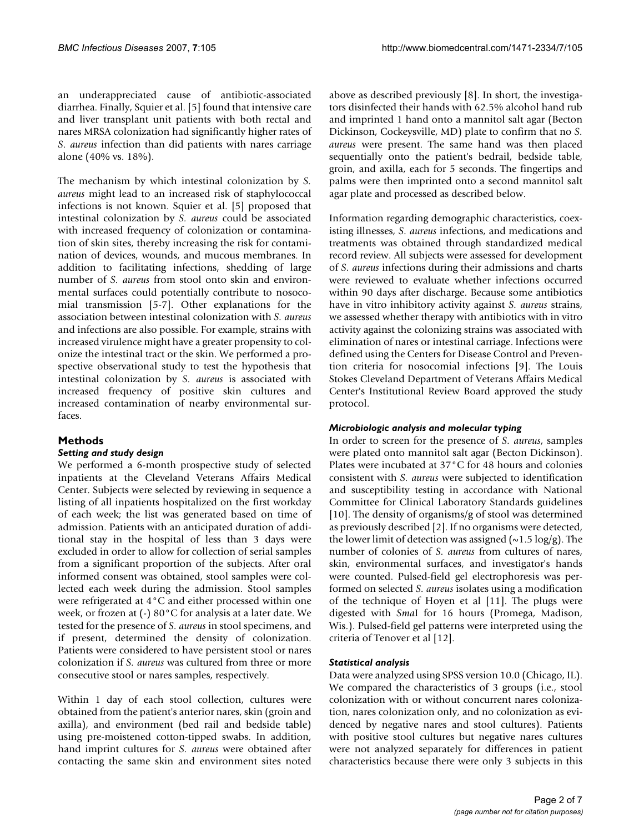an underappreciated cause of antibiotic-associated diarrhea. Finally, Squier et al. [5] found that intensive care and liver transplant unit patients with both rectal and nares MRSA colonization had significantly higher rates of *S. aureus* infection than did patients with nares carriage alone (40% vs. 18%).

The mechanism by which intestinal colonization by *S. aureus* might lead to an increased risk of staphylococcal infections is not known. Squier et al. [5] proposed that intestinal colonization by *S. aureus* could be associated with increased frequency of colonization or contamination of skin sites, thereby increasing the risk for contamination of devices, wounds, and mucous membranes. In addition to facilitating infections, shedding of large number of *S. aureus* from stool onto skin and environmental surfaces could potentially contribute to nosocomial transmission [5-7]. Other explanations for the association between intestinal colonization with *S. aureus* and infections are also possible. For example, strains with increased virulence might have a greater propensity to colonize the intestinal tract or the skin. We performed a prospective observational study to test the hypothesis that intestinal colonization by *S. aureus* is associated with increased frequency of positive skin cultures and increased contamination of nearby environmental surfaces.

# **Methods**

#### *Setting and study design*

We performed a 6-month prospective study of selected inpatients at the Cleveland Veterans Affairs Medical Center. Subjects were selected by reviewing in sequence a listing of all inpatients hospitalized on the first workday of each week; the list was generated based on time of admission. Patients with an anticipated duration of additional stay in the hospital of less than 3 days were excluded in order to allow for collection of serial samples from a significant proportion of the subjects. After oral informed consent was obtained, stool samples were collected each week during the admission. Stool samples were refrigerated at 4°C and either processed within one week, or frozen at (-) 80°C for analysis at a later date. We tested for the presence of *S. aureus* in stool specimens, and if present, determined the density of colonization. Patients were considered to have persistent stool or nares colonization if *S. aureus* was cultured from three or more consecutive stool or nares samples, respectively.

Within 1 day of each stool collection, cultures were obtained from the patient's anterior nares, skin (groin and axilla), and environment (bed rail and bedside table) using pre-moistened cotton-tipped swabs. In addition, hand imprint cultures for *S. aureus* were obtained after contacting the same skin and environment sites noted

above as described previously [8]. In short, the investigators disinfected their hands with 62.5% alcohol hand rub and imprinted 1 hand onto a mannitol salt agar (Becton Dickinson, Cockeysville, MD) plate to confirm that no *S. aureus* were present. The same hand was then placed sequentially onto the patient's bedrail, bedside table, groin, and axilla, each for 5 seconds. The fingertips and palms were then imprinted onto a second mannitol salt agar plate and processed as described below.

Information regarding demographic characteristics, coexisting illnesses, *S. aureus* infections, and medications and treatments was obtained through standardized medical record review. All subjects were assessed for development of *S. aureus* infections during their admissions and charts were reviewed to evaluate whether infections occurred within 90 days after discharge. Because some antibiotics have in vitro inhibitory activity against *S. aureus* strains, we assessed whether therapy with antibiotics with in vitro activity against the colonizing strains was associated with elimination of nares or intestinal carriage. Infections were defined using the Centers for Disease Control and Prevention criteria for nosocomial infections [9]. The Louis Stokes Cleveland Department of Veterans Affairs Medical Center's Institutional Review Board approved the study protocol.

#### *Microbiologic analysis and molecular typing*

In order to screen for the presence of *S. aureus*, samples were plated onto mannitol salt agar (Becton Dickinson). Plates were incubated at 37°C for 48 hours and colonies consistent with *S. aureus* were subjected to identification and susceptibility testing in accordance with National Committee for Clinical Laboratory Standards guidelines [10]. The density of organisms/g of stool was determined as previously described [2]. If no organisms were detected, the lower limit of detection was assigned  $(\sim 1.5 \log/g)$ . The number of colonies of *S. aureus* from cultures of nares, skin, environmental surfaces, and investigator's hands were counted. Pulsed-field gel electrophoresis was performed on selected *S. aureus* isolates using a modification of the technique of Hoyen et al [11]. The plugs were digested with *Sma*I for 16 hours (Promega, Madison, Wis.). Pulsed-field gel patterns were interpreted using the criteria of Tenover et al [12].

#### *Statistical analysis*

Data were analyzed using SPSS version 10.0 (Chicago, IL). We compared the characteristics of 3 groups (i.e., stool colonization with or without concurrent nares colonization, nares colonization only, and no colonization as evidenced by negative nares and stool cultures). Patients with positive stool cultures but negative nares cultures were not analyzed separately for differences in patient characteristics because there were only 3 subjects in this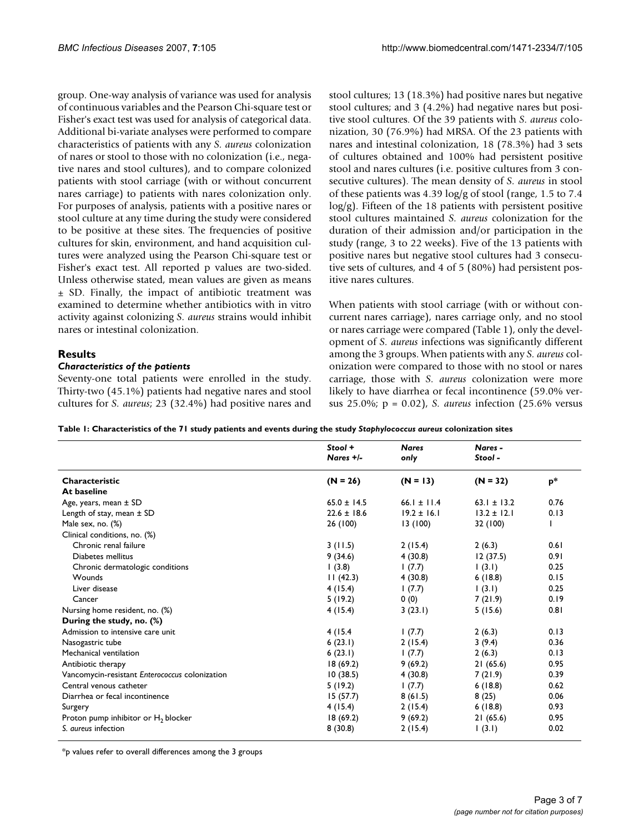group. One-way analysis of variance was used for analysis of continuous variables and the Pearson Chi-square test or Fisher's exact test was used for analysis of categorical data. Additional bi-variate analyses were performed to compare characteristics of patients with any *S. aureus* colonization of nares or stool to those with no colonization (i.e., negative nares and stool cultures), and to compare colonized patients with stool carriage (with or without concurrent nares carriage) to patients with nares colonization only. For purposes of analysis, patients with a positive nares or stool culture at any time during the study were considered to be positive at these sites. The frequencies of positive cultures for skin, environment, and hand acquisition cultures were analyzed using the Pearson Chi-square test or Fisher's exact test. All reported p values are two-sided. Unless otherwise stated, mean values are given as means ± SD. Finally, the impact of antibiotic treatment was examined to determine whether antibiotics with in vitro activity against colonizing *S. aureus* strains would inhibit nares or intestinal colonization.

# **Results**

# *Characteristics of the patients*

Seventy-one total patients were enrolled in the study. Thirty-two (45.1%) patients had negative nares and stool cultures for *S. aureus*; 23 (32.4%) had positive nares and stool cultures; 13 (18.3%) had positive nares but negative stool cultures; and 3 (4.2%) had negative nares but positive stool cultures. Of the 39 patients with *S. aureus* colonization, 30 (76.9%) had MRSA. Of the 23 patients with nares and intestinal colonization, 18 (78.3%) had 3 sets of cultures obtained and 100% had persistent positive stool and nares cultures (i.e. positive cultures from 3 consecutive cultures). The mean density of *S. aureus* in stool of these patients was 4.39 log/g of stool (range, 1.5 to 7.4 log/g). Fifteen of the 18 patients with persistent positive stool cultures maintained *S. aureus* colonization for the duration of their admission and/or participation in the study (range, 3 to 22 weeks). Five of the 13 patients with positive nares but negative stool cultures had 3 consecutive sets of cultures, and 4 of 5 (80%) had persistent positive nares cultures.

When patients with stool carriage (with or without concurrent nares carriage), nares carriage only, and no stool or nares carriage were compared (Table 1), only the development of *S. aureus* infections was significantly different among the 3 groups. When patients with any *S. aureus* colonization were compared to those with no stool or nares carriage, those with *S. aureus* colonization were more likely to have diarrhea or fecal incontinence (59.0% versus 25.0%; p = 0.02), *S. aureus* infection (25.6% versus

| Table 1: Characteristics of the 71 study patients and events during the study Staphylococcus aureus colonization sites |  |  |  |  |
|------------------------------------------------------------------------------------------------------------------------|--|--|--|--|
|------------------------------------------------------------------------------------------------------------------------|--|--|--|--|

|                                                | Stool +         | <b>Nares</b>    | Nares -         |      |
|------------------------------------------------|-----------------|-----------------|-----------------|------|
|                                                | Nares +/-       | only            | Stool -         |      |
| Characteristic                                 | $(N = 26)$      | $(N = 13)$      | $(N = 32)$      | $p*$ |
| At baseline                                    |                 |                 |                 |      |
| Age, years, mean ± SD                          | $65.0 \pm 14.5$ | $66.1 \pm 11.4$ | $63.1 \pm 13.2$ | 0.76 |
| Length of stay, mean ± SD                      | $22.6 \pm 18.6$ | $19.2 \pm 16.1$ | $13.2 \pm 12.1$ | 0.13 |
| Male sex, no. (%)                              | 26 (100)        | 13(100)         | 32 (100)        | L    |
| Clinical conditions, no. (%)                   |                 |                 |                 |      |
| Chronic renal failure                          | 3(11.5)         | 2(15.4)         | 2(6.3)          | 0.61 |
| Diabetes mellitus                              | 9(34.6)         | 4(30.8)         | 12(37.5)        | 0.91 |
| Chronic dermatologic conditions                | (3.8)           | (7.7)           | (3.1)           | 0.25 |
| Wounds                                         | 11(42.3)        | 4(30.8)         | 6(18.8)         | 0.15 |
| Liver disease                                  | 4(15.4)         | 1(7.7)          | (3.1)           | 0.25 |
| Cancer                                         | 5(19.2)         | 0(0)            | 7(21.9)         | 0.19 |
| Nursing home resident, no. (%)                 | 4(15.4)         | 3(23.1)         | 5(15.6)         | 0.81 |
| During the study, no. (%)                      |                 |                 |                 |      |
| Admission to intensive care unit               | 4(15.4)         | 1(7.7)          | 2(6.3)          | 0.13 |
| Nasogastric tube                               | 6(23.1)         | 2(15.4)         | 3(9.4)          | 0.36 |
| Mechanical ventilation                         | 6(23.1)         | (7.7)           | 2(6.3)          | 0.13 |
| Antibiotic therapy                             | 18(69.2)        | 9(69.2)         | 21(65.6)        | 0.95 |
| Vancomycin-resistant Enterococcus colonization | 10(38.5)        | 4(30.8)         | 7(21.9)         | 0.39 |
| Central venous catheter                        | 5(19.2)         | (7.7)           | 6(18.8)         | 0.62 |
| Diarrhea or fecal incontinence                 | 15(57.7)        | 8(61.5)         | 8(25)           | 0.06 |
| Surgery                                        | 4(15.4)         | 2(15.4)         | 6(18.8)         | 0.93 |
| Proton pump inhibitor or $H_2$ blocker         | 18(69.2)        | 9(69.2)         | 21(65.6)        | 0.95 |
| S. aureus infection                            | 8(30.8)         | 2(15.4)         | (3.1)           | 0.02 |
|                                                |                 |                 |                 |      |

\*p values refer to overall differences among the 3 groups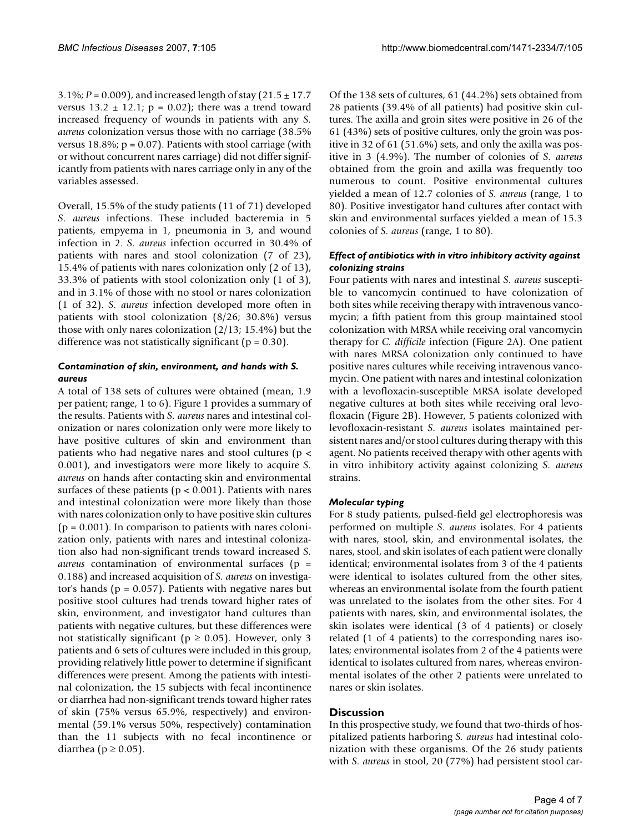3.1%; *P* = 0.009), and increased length of stay (21.5 ± 17.7 versus  $13.2 \pm 12.1$ ;  $p = 0.02$ ); there was a trend toward increased frequency of wounds in patients with any *S. aureus* colonization versus those with no carriage (38.5% versus 18.8%;  $p = 0.07$ ). Patients with stool carriage (with or without concurrent nares carriage) did not differ significantly from patients with nares carriage only in any of the variables assessed.

Overall, 15.5% of the study patients (11 of 71) developed *S. aureus* infections. These included bacteremia in 5 patients, empyema in 1, pneumonia in 3, and wound infection in 2. *S. aureus* infection occurred in 30.4% of patients with nares and stool colonization (7 of 23), 15.4% of patients with nares colonization only (2 of 13), 33.3% of patients with stool colonization only (1 of 3), and in 3.1% of those with no stool or nares colonization (1 of 32). *S. aureus* infection developed more often in patients with stool colonization (8/26; 30.8%) versus those with only nares colonization (2/13; 15.4%) but the difference was not statistically significant ( $p = 0.30$ ).

#### *Contamination of skin, environment, and hands with S. aureus*

A total of 138 sets of cultures were obtained (mean, 1.9 per patient; range, 1 to 6). Figure 1 provides a summary of the results. Patients with *S. aureus* nares and intestinal colonization or nares colonization only were more likely to have positive cultures of skin and environment than patients who had negative nares and stool cultures (p < 0.001), and investigators were more likely to acquire *S. aureus* on hands after contacting skin and environmental surfaces of these patients ( $p < 0.001$ ). Patients with nares and intestinal colonization were more likely than those with nares colonization only to have positive skin cultures  $(p = 0.001)$ . In comparison to patients with nares colonization only, patients with nares and intestinal colonization also had non-significant trends toward increased *S. aureus* contamination of environmental surfaces (p = 0.188) and increased acquisition of *S. aureus* on investigator's hands ( $p = 0.057$ ). Patients with negative nares but positive stool cultures had trends toward higher rates of skin, environment, and investigator hand cultures than patients with negative cultures, but these differences were not statistically significant ( $p \ge 0.05$ ). However, only 3 patients and 6 sets of cultures were included in this group, providing relatively little power to determine if significant differences were present. Among the patients with intestinal colonization, the 15 subjects with fecal incontinence or diarrhea had non-significant trends toward higher rates of skin (75% versus 65.9%, respectively) and environmental (59.1% versus 50%, respectively) contamination than the 11 subjects with no fecal incontinence or diarrhea (p  $\geq$  0.05).

Of the 138 sets of cultures, 61 (44.2%) sets obtained from 28 patients (39.4% of all patients) had positive skin cultures. The axilla and groin sites were positive in 26 of the 61 (43%) sets of positive cultures, only the groin was positive in 32 of 61 (51.6%) sets, and only the axilla was positive in 3 (4.9%). The number of colonies of *S. aureus* obtained from the groin and axilla was frequently too numerous to count. Positive environmental cultures yielded a mean of 12.7 colonies of *S. aureus* (range, 1 to 80). Positive investigator hand cultures after contact with skin and environmental surfaces yielded a mean of 15.3 colonies of *S. aureus* (range, 1 to 80).

#### *Effect of antibiotics with in vitro inhibitory activity against colonizing strains*

Four patients with nares and intestinal *S. aureus* susceptible to vancomycin continued to have colonization of both sites while receiving therapy with intravenous vancomycin; a fifth patient from this group maintained stool colonization with MRSA while receiving oral vancomycin therapy for *C. difficile* infection (Figure 2A). One patient with nares MRSA colonization only continued to have positive nares cultures while receiving intravenous vancomycin. One patient with nares and intestinal colonization with a levofloxacin-susceptible MRSA isolate developed negative cultures at both sites while receiving oral levofloxacin (Figure 2B). However, 5 patients colonized with levofloxacin-resistant *S. aureus* isolates maintained persistent nares and/or stool cultures during therapy with this agent. No patients received therapy with other agents with in vitro inhibitory activity against colonizing *S. aureus* strains.

# *Molecular typing*

For 8 study patients, pulsed-field gel electrophoresis was performed on multiple *S. aureus* isolates. For 4 patients with nares, stool, skin, and environmental isolates, the nares, stool, and skin isolates of each patient were clonally identical; environmental isolates from 3 of the 4 patients were identical to isolates cultured from the other sites, whereas an environmental isolate from the fourth patient was unrelated to the isolates from the other sites. For 4 patients with nares, skin, and environmental isolates, the skin isolates were identical (3 of 4 patients) or closely related (1 of 4 patients) to the corresponding nares isolates; environmental isolates from 2 of the 4 patients were identical to isolates cultured from nares, whereas environmental isolates of the other 2 patients were unrelated to nares or skin isolates.

# **Discussion**

In this prospective study, we found that two-thirds of hospitalized patients harboring *S. aureus* had intestinal colonization with these organisms. Of the 26 study patients with *S. aureus* in stool, 20 (77%) had persistent stool car-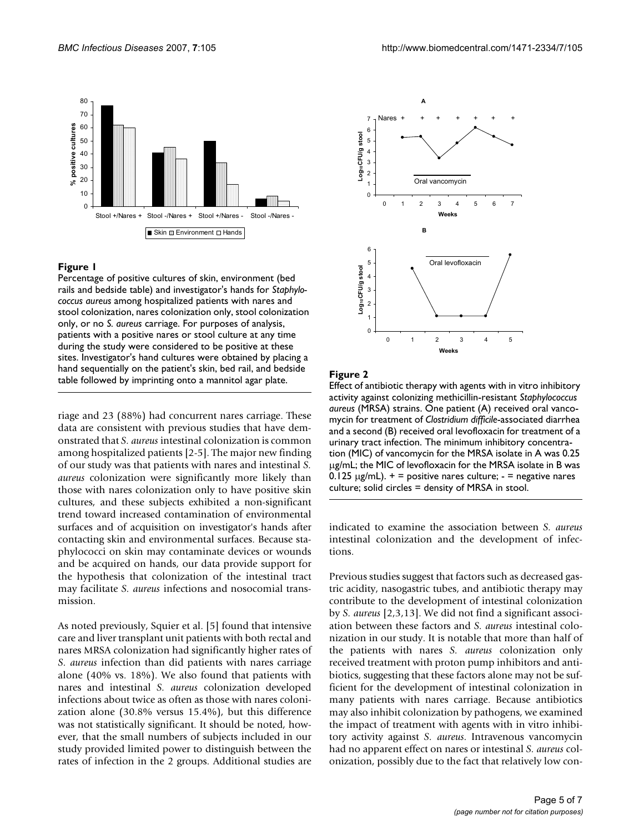

Percentage of positive cultures of skin, environment (bed rails and bedside table) and investigator's hands for *Staphylococcus aureus* among hospitalized patients with nares and stool colonization, nares colonization only, stool colonization only, or no *S. aureus* carriage. For purposes of analysis, patients with a positive nares or stool culture at any time during the study were considered to be positive at these sites. Investigator's hand cultures were obtained by placing a hand sequentially on the patient's skin, bed rail, and bedside table followed by imprinting onto a mannitol agar plate.

riage and 23 (88%) had concurrent nares carriage. These data are consistent with previous studies that have demonstrated that *S. aureus* intestinal colonization is common among hospitalized patients [2-5]. The major new finding of our study was that patients with nares and intestinal *S. aureus* colonization were significantly more likely than those with nares colonization only to have positive skin cultures, and these subjects exhibited a non-significant trend toward increased contamination of environmental surfaces and of acquisition on investigator's hands after contacting skin and environmental surfaces. Because staphylococci on skin may contaminate devices or wounds and be acquired on hands, our data provide support for the hypothesis that colonization of the intestinal tract may facilitate *S. aureus* infections and nosocomial transmission.

As noted previously, Squier et al. [5] found that intensive care and liver transplant unit patients with both rectal and nares MRSA colonization had significantly higher rates of *S. aureus* infection than did patients with nares carriage alone (40% vs. 18%). We also found that patients with nares and intestinal *S. aureus* colonization developed infections about twice as often as those with nares colonization alone (30.8% versus 15.4%), but this difference was not statistically significant. It should be noted, however, that the small numbers of subjects included in our study provided limited power to distinguish between the rates of infection in the 2 groups. Additional studies are



#### Figure 2

Effect of antibiotic therapy with agents with in vitro inhibitory activity against colonizing methicillin-resistant *Staphylococcus aureus* (MRSA) strains. One patient (A) received oral vancomycin for treatment of *Clostridium difficile*-associated diarrhea and a second (B) received oral levofloxacin for treatment of a urinary tract infection. The minimum inhibitory concentration (MIC) of vancomycin for the MRSA isolate in A was 0.25 µg/mL; the MIC of levofloxacin for the MRSA isolate in B was  $0.125 \mu g/mL$ . + = positive nares culture; - = negative nares culture; solid circles = density of MRSA in stool.

indicated to examine the association between *S. aureus* intestinal colonization and the development of infections.

Previous studies suggest that factors such as decreased gastric acidity, nasogastric tubes, and antibiotic therapy may contribute to the development of intestinal colonization by *S. aureus* [2,3,13]. We did not find a significant association between these factors and *S. aureus* intestinal colonization in our study. It is notable that more than half of the patients with nares *S. aureus* colonization only received treatment with proton pump inhibitors and antibiotics, suggesting that these factors alone may not be sufficient for the development of intestinal colonization in many patients with nares carriage. Because antibiotics may also inhibit colonization by pathogens, we examined the impact of treatment with agents with in vitro inhibitory activity against *S. aureus*. Intravenous vancomycin had no apparent effect on nares or intestinal *S. aureus* colonization, possibly due to the fact that relatively low con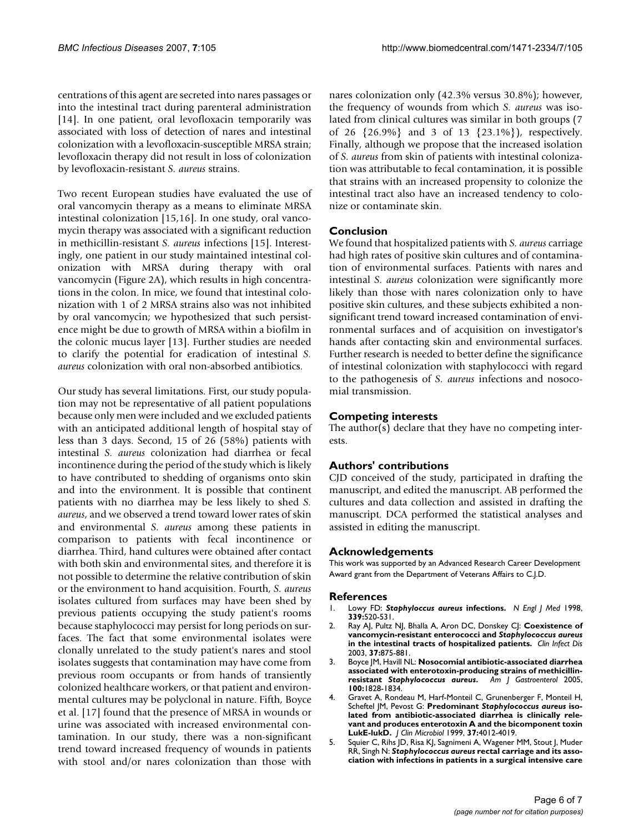centrations of this agent are secreted into nares passages or into the intestinal tract during parenteral administration [14]. In one patient, oral levofloxacin temporarily was associated with loss of detection of nares and intestinal colonization with a levofloxacin-susceptible MRSA strain; levofloxacin therapy did not result in loss of colonization by levofloxacin-resistant *S. aureus* strains.

Two recent European studies have evaluated the use of oral vancomycin therapy as a means to eliminate MRSA intestinal colonization [15,16]. In one study, oral vancomycin therapy was associated with a significant reduction in methicillin-resistant *S. aureus* infections [15]. Interestingly, one patient in our study maintained intestinal colonization with MRSA during therapy with oral vancomycin (Figure 2A), which results in high concentrations in the colon. In mice, we found that intestinal colonization with 1 of 2 MRSA strains also was not inhibited by oral vancomycin; we hypothesized that such persistence might be due to growth of MRSA within a biofilm in the colonic mucus layer [13]. Further studies are needed to clarify the potential for eradication of intestinal *S. aureus* colonization with oral non-absorbed antibiotics.

Our study has several limitations. First, our study population may not be representative of all patient populations because only men were included and we excluded patients with an anticipated additional length of hospital stay of less than 3 days. Second, 15 of 26 (58%) patients with intestinal *S. aureus* colonization had diarrhea or fecal incontinence during the period of the study which is likely to have contributed to shedding of organisms onto skin and into the environment. It is possible that continent patients with no diarrhea may be less likely to shed *S. aureus*, and we observed a trend toward lower rates of skin and environmental *S. aureus* among these patients in comparison to patients with fecal incontinence or diarrhea. Third, hand cultures were obtained after contact with both skin and environmental sites, and therefore it is not possible to determine the relative contribution of skin or the environment to hand acquisition. Fourth, *S. aureus* isolates cultured from surfaces may have been shed by previous patients occupying the study patient's rooms because staphylococci may persist for long periods on surfaces. The fact that some environmental isolates were clonally unrelated to the study patient's nares and stool isolates suggests that contamination may have come from previous room occupants or from hands of transiently colonized healthcare workers, or that patient and environmental cultures may be polyclonal in nature. Fifth, Boyce et al. [\[17](#page-6-0)] found that the presence of MRSA in wounds or urine was associated with increased environmental contamination. In our study, there was a non-significant trend toward increased frequency of wounds in patients with stool and/or nares colonization than those with nares colonization only (42.3% versus 30.8%); however, the frequency of wounds from which *S. aureus* was isolated from clinical cultures was similar in both groups (7 of 26 {26.9%} and 3 of 13 {23.1%}), respectively. Finally, although we propose that the increased isolation of *S. aureus* from skin of patients with intestinal colonization was attributable to fecal contamination, it is possible that strains with an increased propensity to colonize the intestinal tract also have an increased tendency to colonize or contaminate skin.

#### **Conclusion**

We found that hospitalized patients with *S. aureus* carriage had high rates of positive skin cultures and of contamination of environmental surfaces. Patients with nares and intestinal *S. aureus* colonization were significantly more likely than those with nares colonization only to have positive skin cultures, and these subjects exhibited a nonsignificant trend toward increased contamination of environmental surfaces and of acquisition on investigator's hands after contacting skin and environmental surfaces. Further research is needed to better define the significance of intestinal colonization with staphylococci with regard to the pathogenesis of *S. aureus* infections and nosocomial transmission.

#### **Competing interests**

The author(s) declare that they have no competing interests.

# **Authors' contributions**

CJD conceived of the study, participated in drafting the manuscript, and edited the manuscript. AB performed the cultures and data collection and assisted in drafting the manuscript. DCA performed the statistical analyses and assisted in editing the manuscript.

#### **Acknowledgements**

This work was supported by an Advanced Research Career Development Award grant from the Department of Veterans Affairs to C.J.D.

#### **References**

- 1. Lowy FD: *Staphyloccus aureus* **[infections.](http://www.ncbi.nlm.nih.gov/entrez/query.fcgi?cmd=Retrieve&db=PubMed&dopt=Abstract&list_uids=9709046)** *N Engl J Med* 1998, **339:**520-531.
- 2. Ray AJ, Pultz NJ, Bhalla A, Aron DC, Donskey CJ: **Coexistence of vancomycin-resistant enterococci and** *Staphylococcus aureus* **[in the intestinal tracts of hospitalized patients.](http://www.ncbi.nlm.nih.gov/entrez/query.fcgi?cmd=Retrieve&db=PubMed&dopt=Abstract&list_uids=13130397)** *Clin Infect Dis* 2003, **37:**875-881.
- 3. Boyce JM, Havill NL: **Nosocomial antibiotic-associated diarrhea associated with enterotoxin-producing strains of methicillinresistant** *Staphylococcus aureus***[.](http://www.ncbi.nlm.nih.gov/entrez/query.fcgi?cmd=Retrieve&db=PubMed&dopt=Abstract&list_uids=16086721)** *Am J Gastroenterol* 2005, **100:**1828-1834.
- 4. Gravet A, Rondeau M, Harf-Monteil C, Grunenberger F, Monteil H, Scheftel JM, Pevost G: **Predominant** *Staphylococcus aureus* **[iso](http://www.ncbi.nlm.nih.gov/entrez/query.fcgi?cmd=Retrieve&db=PubMed&dopt=Abstract&list_uids=10565923)lated from antibiotic-associated diarrhea is clinically rele[vant and produces enterotoxin A and the bicomponent toxin](http://www.ncbi.nlm.nih.gov/entrez/query.fcgi?cmd=Retrieve&db=PubMed&dopt=Abstract&list_uids=10565923) [LukE-lukD.](http://www.ncbi.nlm.nih.gov/entrez/query.fcgi?cmd=Retrieve&db=PubMed&dopt=Abstract&list_uids=10565923)** *J Clin Microbiol* 1999, **37:**4012-4019.
- 5. Squier C, Rihs JD, Risa KJ, Sagnimeni A, Wagener MM, Stout J, Muder RR, Singh N: *Staphylococcus aureus* **[rectal carriage and its asso](http://www.ncbi.nlm.nih.gov/entrez/query.fcgi?cmd=Retrieve&db=PubMed&dopt=Abstract&list_uids=12269445)[ciation with infections in patients in a surgical intensive care](http://www.ncbi.nlm.nih.gov/entrez/query.fcgi?cmd=Retrieve&db=PubMed&dopt=Abstract&list_uids=12269445)**